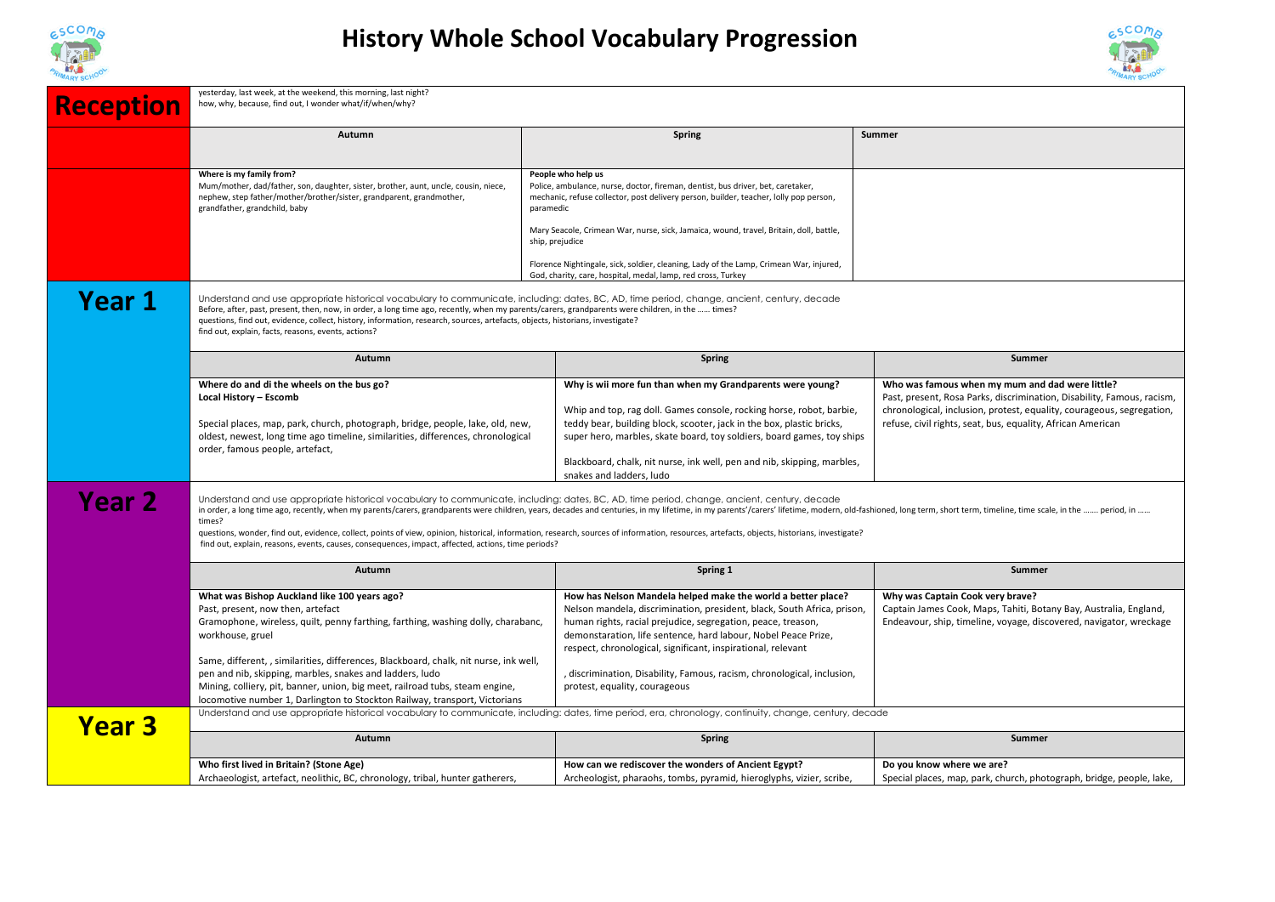



| <b>Reception</b> | yesterday, last week, at the weekend, this morning, last night?<br>how, why, because, find out, I wonder what/if/when/why?                                                                                                                                                                                                                                                                                                                                                                                                                                                                                                                                                                    |                                                                                                                                                                                                                                                                                                                                                                                                                                                                                    |                                                                                                                                                                                                                                                                   |  |  |
|------------------|-----------------------------------------------------------------------------------------------------------------------------------------------------------------------------------------------------------------------------------------------------------------------------------------------------------------------------------------------------------------------------------------------------------------------------------------------------------------------------------------------------------------------------------------------------------------------------------------------------------------------------------------------------------------------------------------------|------------------------------------------------------------------------------------------------------------------------------------------------------------------------------------------------------------------------------------------------------------------------------------------------------------------------------------------------------------------------------------------------------------------------------------------------------------------------------------|-------------------------------------------------------------------------------------------------------------------------------------------------------------------------------------------------------------------------------------------------------------------|--|--|
|                  | Autumn                                                                                                                                                                                                                                                                                                                                                                                                                                                                                                                                                                                                                                                                                        | <b>Spring</b>                                                                                                                                                                                                                                                                                                                                                                                                                                                                      | <b>Summer</b>                                                                                                                                                                                                                                                     |  |  |
|                  | Where is my family from?<br>Mum/mother, dad/father, son, daughter, sister, brother, aunt, uncle, cousin, niece,<br>nephew, step father/mother/brother/sister, grandparent, grandmother,<br>grandfather, grandchild, baby                                                                                                                                                                                                                                                                                                                                                                                                                                                                      | People who help us<br>Police, ambulance, nurse, doctor, fireman, dentist, bus driver, bet, caretaker,<br>mechanic, refuse collector, post delivery person, builder, teacher, lolly pop person,<br>paramedic<br>Mary Seacole, Crimean War, nurse, sick, Jamaica, wound, travel, Britain, doll, battle,<br>ship, prejudice<br>Florence Nightingale, sick, soldier, cleaning, Lady of the Lamp, Crimean War, injured,<br>God, charity, care, hospital, medal, lamp, red cross, Turkey |                                                                                                                                                                                                                                                                   |  |  |
| <b>Year 1</b>    | Understand and use appropriate historical vocabulary to communicate, including: dates, BC, AD, time period, change, ancient, century, decade<br>Before, after, past, present, then, now, in order, a long time ago, recently, when my parents/carers, grandparents were children, in the  times?<br>questions, find out, evidence, collect, history, information, research, sources, artefacts, objects, historians, investigate?<br>find out, explain, facts, reasons, events, actions?                                                                                                                                                                                                      |                                                                                                                                                                                                                                                                                                                                                                                                                                                                                    |                                                                                                                                                                                                                                                                   |  |  |
|                  | Autumn                                                                                                                                                                                                                                                                                                                                                                                                                                                                                                                                                                                                                                                                                        | <b>Spring</b>                                                                                                                                                                                                                                                                                                                                                                                                                                                                      | <b>Summer</b>                                                                                                                                                                                                                                                     |  |  |
|                  | Where do and di the wheels on the bus go?<br>Local History - Escomb<br>Special places, map, park, church, photograph, bridge, people, lake, old, new,<br>oldest, newest, long time ago timeline, similarities, differences, chronological<br>order, famous people, artefact,                                                                                                                                                                                                                                                                                                                                                                                                                  | Why is wii more fun than when my Grandparents were young?<br>Whip and top, rag doll. Games console, rocking horse, robot, barbie,<br>teddy bear, building block, scooter, jack in the box, plastic bricks,<br>super hero, marbles, skate board, toy soldiers, board games, toy ships<br>Blackboard, chalk, nit nurse, ink well, pen and nib, skipping, marbles,<br>snakes and ladders. Judo                                                                                        | Who was famous when my mum and dad were little?<br>Past, present, Rosa Parks, discrimination, Disability, Famous, racism,<br>chronological, inclusion, protest, equality, courageous, segregation,<br>refuse, civil rights, seat, bus, equality, African American |  |  |
| Year 2           | Understand and use appropriate historical vocabulary to communicate, including: dates, BC, AD, time period, change, ancient, century, decade<br>in order, a long time ago, recently, when my parents/carers, grandparents were children, years, decades and centuries, in my lifetime, in my parents'/carers' lifetime, modern, old-fashioned, long term, short term, timeline<br>times?<br>questions, wonder, find out, evidence, collect, points of view, opinion, historical, information, research, sources of information, resources, artefacts, objects, historians, investigate?<br>find out, explain, reasons, events, causes, consequences, impact, affected, actions, time periods? |                                                                                                                                                                                                                                                                                                                                                                                                                                                                                    |                                                                                                                                                                                                                                                                   |  |  |
|                  | Autumn                                                                                                                                                                                                                                                                                                                                                                                                                                                                                                                                                                                                                                                                                        | Spring 1                                                                                                                                                                                                                                                                                                                                                                                                                                                                           | Summer                                                                                                                                                                                                                                                            |  |  |
|                  | What was Bishop Auckland like 100 years ago?<br>Past, present, now then, artefact<br>Gramophone, wireless, quilt, penny farthing, farthing, washing dolly, charabanc,<br>workhouse, gruel                                                                                                                                                                                                                                                                                                                                                                                                                                                                                                     | How has Nelson Mandela helped make the world a better place?<br>Nelson mandela, discrimination, president, black, South Africa, prison,<br>human rights, racial prejudice, segregation, peace, treason,<br>demonstaration, life sentence, hard labour, Nobel Peace Prize,<br>respect, chronological, significant, inspirational, relevant                                                                                                                                          | Why was Captain Cook very brave?<br>Captain James Cook, Maps, Tahiti, Botany Bay, Australia, England,<br>Endeavour, ship, timeline, voyage, discovered, navigator, wreckage                                                                                       |  |  |
|                  | Same, different, , similarities, differences, Blackboard, chalk, nit nurse, ink well,<br>pen and nib, skipping, marbles, snakes and ladders, ludo<br>Mining, colliery, pit, banner, union, big meet, railroad tubs, steam engine,<br>locomotive number 1, Darlington to Stockton Railway, transport, Victorians                                                                                                                                                                                                                                                                                                                                                                               | , discrimination, Disability, Famous, racism, chronological, inclusion,<br>protest, equality, courageous                                                                                                                                                                                                                                                                                                                                                                           |                                                                                                                                                                                                                                                                   |  |  |
| <b>Year 3</b>    | Understand and use appropriate historical vocabulary to communicate, including: dates, time period, era, chronology, continuity, change, century, decade<br>Summer                                                                                                                                                                                                                                                                                                                                                                                                                                                                                                                            |                                                                                                                                                                                                                                                                                                                                                                                                                                                                                    |                                                                                                                                                                                                                                                                   |  |  |
|                  | Autumn<br>Who first lived in Britain? (Stone Age)<br>Archaeologist, artefact, neolithic, BC, chronology, tribal, hunter gatherers,                                                                                                                                                                                                                                                                                                                                                                                                                                                                                                                                                            | <b>Spring</b><br>How can we rediscover the wonders of Ancient Egypt?<br>Archeologist, pharaohs, tombs, pyramid, hieroglyphs, vizier, scribe,                                                                                                                                                                                                                                                                                                                                       | Do you know where we are?<br>Special places, map, park, church, photograph, bridge, people, lake,                                                                                                                                                                 |  |  |